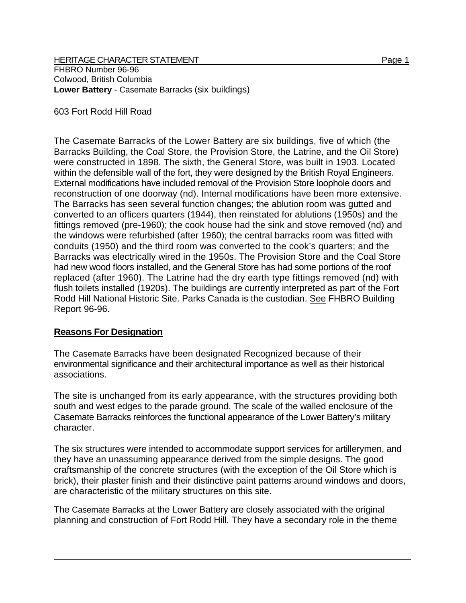**HERITAGE CHARACTER STATEMENT** Page 1

FHBRO Number 96-96 Colwood, British Columbia **Lower Battery** - Casemate Barracks (six buildings)

603 Fort Rodd Hill Road

The Casemate Barracks of the Lower Battery are six buildings, five of which (the Barracks Building, the Coal Store, the Provision Store, the Latrine, and the Oil Store) were constructed in 1898. The sixth, the General Store, was built in 1903. Located within the defensible wall of the fort, they were designed by the British Royal Engineers. External modifications have included removal of the Provision Store loophole doors and reconstruction of one doorway (nd). Internal modifications have been more extensive. The Barracks has seen several function changes; the ablution room was gutted and converted to an officers quarters (1944), then reinstated for ablutions (1950s) and the fittings removed (pre-1960); the cook house had the sink and stove removed (nd) and the windows were refurbished (after 1960); the central barracks room was fitted with conduits (1950) and the third room was converted to the cook's quarters; and the Barracks was electrically wired in the 1950s. The Provision Store and the Coal Store had new wood floors installed, and the General Store has had some portions of the roof replaced (after 1960). The Latrine had the dry earth type fittings removed (nd) with flush toilets installed (1920s). The buildings are currently interpreted as part of the Fort Rodd Hill National Historic Site. Parks Canada is the custodian. See FHBRO Building Report 96-96.

## **Reasons For Designation**

The Casemate Barracks have been designated Recognized because of their environmental significance and their architectural importance as well as their historical associations.

The site is unchanged from its early appearance, with the structures providing both south and west edges to the parade ground. The scale of the walled enclosure of the Casemate Barracks reinforces the functional appearance of the Lower Battery's military character.

The six structures were intended to accommodate support services for artillerymen, and they have an unassuming appearance derived from the simple designs. The good craftsmanship of the concrete structures (with the exception of the Oil Store which is brick), their plaster finish and their distinctive paint patterns around windows and doors, are characteristic of the military structures on this site.

The Casemate Barracks at the Lower Battery are closely associated with the original planning and construction of Fort Rodd Hill. They have a secondary role in the theme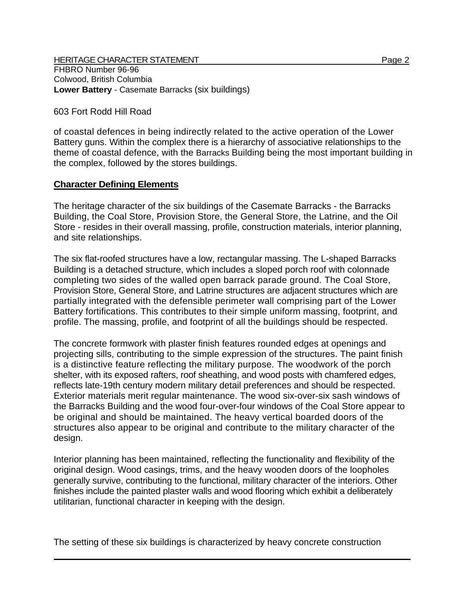**HERITAGE CHARACTER STATEMENT Page 2** FHBRO Number 96-96 Colwood, British Columbia **Lower Battery** - Casemate Barracks (six buildings)

## 603 Fort Rodd Hill Road

of coastal defences in being indirectly related to the active operation of the Lower Battery guns. Within the complex there is a hierarchy of associative relationships to the theme of coastal defence, with the Barracks Building being the most important building in the complex, followed by the stores buildings.

## **Character Defining Elements**

The heritage character of the six buildings of the Casemate Barracks - the Barracks Building, the Coal Store, Provision Store, the General Store, the Latrine, and the Oil Store - resides in their overall massing, profile, construction materials, interior planning, and site relationships.

The six flat-roofed structures have a low, rectangular massing. The L-shaped Barracks Building is a detached structure, which includes a sloped porch roof with colonnade completing two sides of the walled open barrack parade ground. The Coal Store, Provision Store, General Store, and Latrine structures are adjacent structures which are partially integrated with the defensible perimeter wall comprising part of the Lower Battery fortifications. This contributes to their simple uniform massing, footprint, and profile. The massing, profile, and footprint of all the buildings should be respected.

The concrete formwork with plaster finish features rounded edges at openings and projecting sills, contributing to the simple expression of the structures. The paint finish is a distinctive feature reflecting the military purpose. The woodwork of the porch shelter, with its exposed rafters, roof sheathing, and wood posts with chamfered edges, reflects late-19th century modern military detail preferences and should be respected. Exterior materials merit regular maintenance. The wood six-over-six sash windows of the Barracks Building and the wood four-over-four windows of the Coal Store appear to be original and should be maintained. The heavy vertical boarded doors of the structures also appear to be original and contribute to the military character of the design.

Interior planning has been maintained, reflecting the functionality and flexibility of the original design. Wood casings, trims, and the heavy wooden doors of the loopholes generally survive, contributing to the functional, military character of the interiors. Other finishes include the painted plaster walls and wood flooring which exhibit a deliberately utilitarian, functional character in keeping with the design.

The setting of these six buildings is characterized by heavy concrete construction